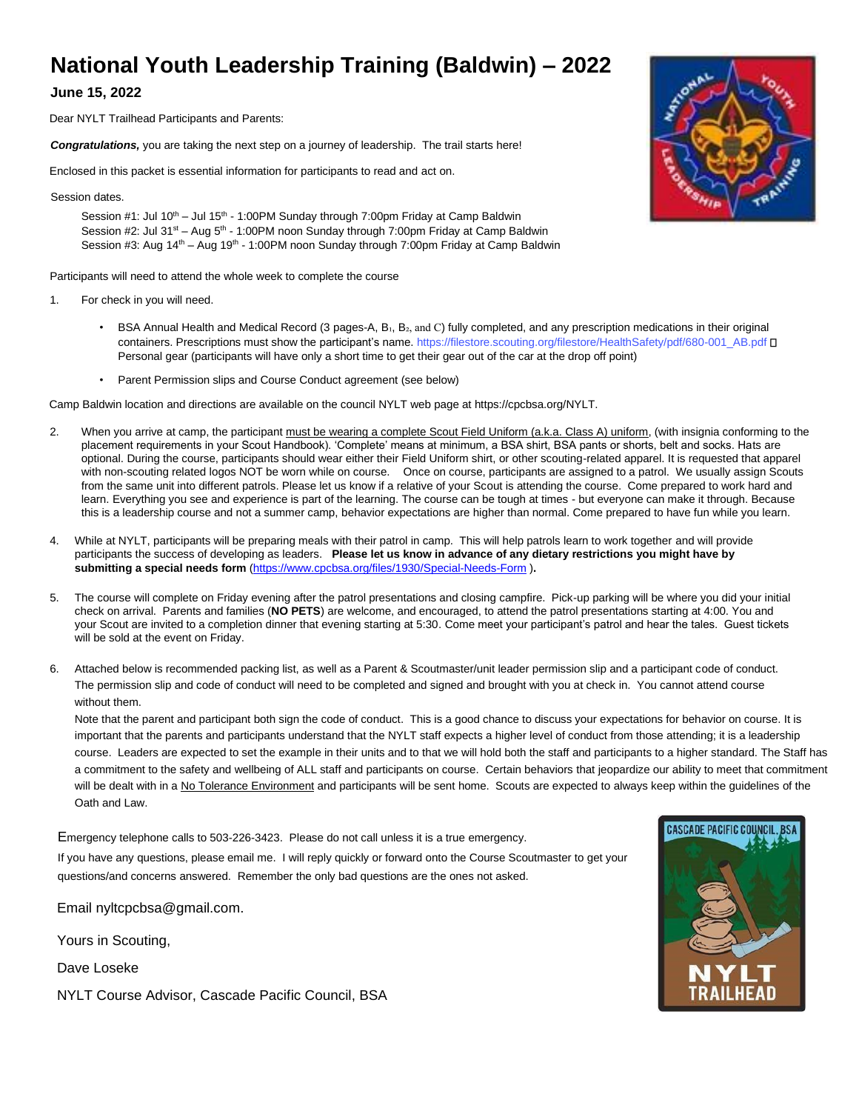# **National Youth Leadership Training (Baldwin) – 2022**

## **June 15, 2022**

Dear NYLT Trailhead Participants and Parents:

*Congratulations,* you are taking the next step on a journey of leadership. The trail starts here!

Enclosed in this packet is essential information for participants to read and act on.

Session dates.

Session  $#1$ : Jul  $10<sup>th</sup> -$  Jul  $15<sup>th</sup> - 1:00PM$  Sunday through 7:00pm Friday at Camp Baldwin Session #2: Jul 31<sup>st</sup> – Aug 5<sup>th</sup> - 1:00PM noon Sunday through 7:00pm Friday at Camp Baldwin Session #3: Aug 14<sup>th</sup> – Aug 19<sup>th</sup> - 1:00PM noon Sunday through 7:00pm Friday at Camp Baldwin

Participants will need to attend the whole week to complete the course

- 1. For check in you will need.
	- BSA Annual Health and Medical Record (3 pages-A, B<sub>1</sub>, B<sub>2</sub>, and C) fully completed, and any prescription medications in their original containers. Prescriptions must show the participant's name. https://filestore.scouting.org/filestore/HealthSafety/pdf/680-001\_AB.pdf [ Personal gear (participants will have only a short time to get their gear out of the car at the drop off point)
	- Parent Permission slips and Course Conduct agreement (see below)

Camp Baldwin location and directions are available on the council NYLT web page at https://cpcbsa.org/NYLT.

- 2. When you arrive at camp, the participant must be wearing a complete Scout Field Uniform (a.k.a. Class A) uniform, (with insignia conforming to the placement requirements in your Scout Handbook). 'Complete' means at minimum, a BSA shirt, BSA pants or shorts, belt and socks. Hats are optional. During the course, participants should wear either their Field Uniform shirt, or other scouting-related apparel. It is requested that apparel with non-scouting related logos NOT be worn while on course. Once on course, participants are assigned to a patrol. We usually assign Scouts from the same unit into different patrols. Please let us know if a relative of your Scout is attending the course. Come prepared to work hard and learn. Everything you see and experience is part of the learning. The course can be tough at times - but everyone can make it through. Because this is a leadership course and not a summer camp, behavior expectations are higher than normal. Come prepared to have fun while you learn.
- 4. While at NYLT, participants will be preparing meals with their patrol in camp. This will help patrols learn to work together and will provide participants [the success of developing as leaders.](https://www.cpcbsa.org/files/1930/Special-Needs-Form) **[Please let us know](https://www.cpcbsa.org/files/1930/Special-Needs-Form) in advance of any dietary restrictions you might have by submittin[g a special](https://www.cpcbsa.org/files/1930/Special-Needs-Form) [needs form](https://www.cpcbsa.org/files/1930/Special-Needs-Form)** [\(https://www.cpcbsa.org/files/1930/S](https://www.cpcbsa.org/files/1930/Special-Needs-Form)pecial-Needs-Form )**.**
- 5. The course will complete on Friday evening after the patrol presentations and closing campfire. Pick-up parking will be where you did your initial check on arrival. Parents and families (**NO PETS**) are welcome, and encouraged, to attend the patrol presentations starting at 4:00. You and your Scout are invited to a completion dinner that evening starting at 5:30. Come meet your participant's patrol and hear the tales. Guest tickets will be sold at the event on Friday.
- 6. Attached below is recommended packing list, as well as a Parent & Scoutmaster/unit leader permission slip and a participant code of conduct. The permission slip and code of conduct will need to be completed and signed and brought with you at check in. You cannot attend course without them.

Note that the parent and participant both sign the code of c[onduct. This is a good chance to discuss your expectations for beha](https://global.gotomeeting.com/join/436838797)vior on course. It is important that the parents and participants understand [that the NYLT staff expects a higher level of conduct from those att](https://global.gotomeeting.com/join/436838797)ending; it is a leadership course. Leaders are expected to set the exam[ple in their units and to that we will hold both the staff and participants](https://global.gotomeeting.com/join/436838797) to a higher standard. The Staff has a commitment to the safety and wellbeing of ALL staff and participants on course. Certain behaviors that jeopardize our ability to meet that commitment will be dealt with in a No Tolerance Environment and participants will be sent home. Scouts are expected to always keep within the guidelines of the Oath and Law.

Emergency telephone calls to 503-226-3423. Please do not call unless it is a true emergency. If you have any questions, please email me. I will reply quickly or forward onto the Course Scoutmaster to get your questions/and concerns answered. Remember the only bad questions are the ones not asked.

Email nyltcpcbsa@gmail.com.

Yours in Scouting,

Dave Loseke

NYLT Course Advisor, Cascade Pacific Council, BSA



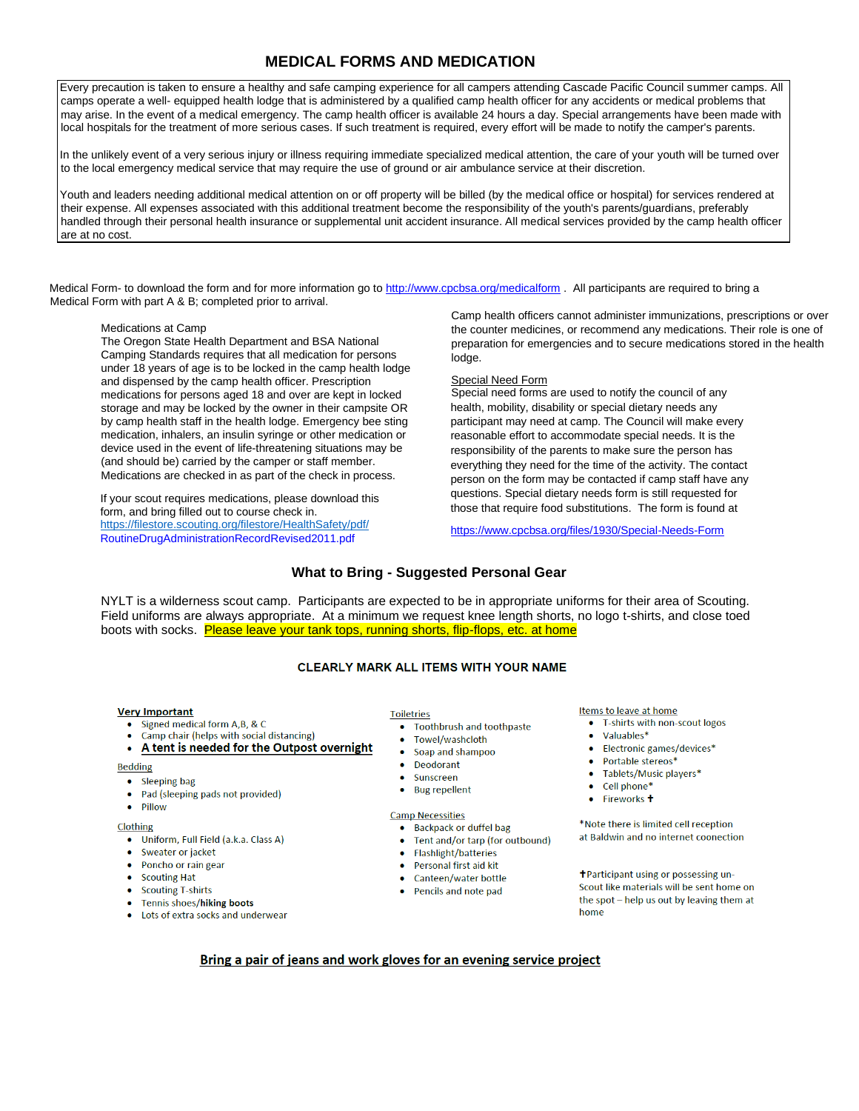## **MEDICAL FORMS AND MEDICATION**

Every precaution is taken to ensure a healthy and safe camping experience for all campers attending Cascade Pacific Council summer camps. All camps operate a well- equipped health lodge that is administered by a qualified camp health officer for any accidents or medical problems that may arise. In the event of a medical emergency. The camp health officer is available 24 hours a day. Special arrangements have been made with local hospitals for the treatment of more serious cases. If such treatment is required, every effort will be made to notify the camper's parents.

In the unlikely event of a very serious injury or illness requiring immediate specialized medical attention, the care of your youth will be turned over to the local emergency medical service that may require the use of ground or air ambulance service at their discretion.

Youth and leaders needing additional medical attention on or off property will be billed (by the medical office or hospital) for services rendered at their expense. All expenses associated with this additional treatment become the responsibility of the youth's parents/guardians, preferably handled through their personal health insurance or supplemental unit accident insurance. All medical services provided by the camp health officer are at no cost.

Medical Form- to download the form and for more information go to http:/[/www.cpcbsa.org/medicalform](http://www.cpcbsa.org/medicalform) [. A](http://www.cpcbsa.org/medicalform)ll participants are required to bring a Medical Form with part A & B; completed prior to arrival.

#### Medications at Camp

The Oregon State Health Department and BSA National Camping Standards requires that all medication for persons under 18 years of age is to be locked in the camp health lodge and dispensed by the camp health officer. Prescription medications for persons aged 18 and over are kept in locked storage and may be locked by the owner in their campsite OR by camp health staff in the health lodge. Emergency bee sting medication, inhalers, an insulin syringe or other medication or device used in the event of life-threatening situations may be (and should be) carried by the camper or staff member. Medications are checked in as part of the check in process.

If your scout requires medications, please download this form, and bring filled out to course check in. <https://filestore.scouting.org/filestore/HealthSafety/pdf/> [RoutineDrugAdministrationRecordRevised2011.pdf](https://filestore.scouting.org/filestore/HealthSafety/pdf/RoutineDrugAdministrationRecordRevised2011.pdf)

Camp health officers cannot administer immunizations, prescriptions or over the counter medicines, or recommend any medications. Their role is one of preparation for emergencies and to secure medications stored in the health lodge.

#### Special Need Form

Special need forms are used to notify the council of any health, mobility, disability or special dietary needs any participant may need at camp. The Council will make every reasonable effort to accommodate special needs. It is the responsibility of the parents to make sure the person has everything they need for the time of the activity. The contact person on the form may be contacted if camp staff have any questions. Special dietary needs form is still requested for those that require food substitutions. The form is found at

https://www.cpcbsa.org/files/1930/Special-Needs-Form

### **What to Bring - Suggested Personal Gear**

NYLT is a wilderness scout camp. Participants are expected to be in appropriate uniforms for their area of Scouting. Field uniforms are always appropriate. At a minimum we request knee length shorts, no logo t-shirts, and close toed boots with socks. Please leave your tank tops, running shorts, flip-flops, etc. at home

#### **CLEARLY MARK ALL ITEMS WITH YOUR NAME**

#### **Very Important**

- Signed medical form  $A, B, \& C$
- Camp chair (helps with social distancing)

#### A tent is needed for the Outpost overnight

**Bedding** 

- Sleeping bag
- Pad (sleeping pads not provided)
- $\bullet$ Pillow

#### Clothing

- Uniform, Full Field (a.k.a. Class A)
- Sweater or jacket
- Poncho or rain gear
- Scouting Hat
- Scouting T-shirts
- Tennis shoes/hiking boots
- Lots of extra socks and underwear
- **Toiletries**
- Toothbrush and toothpaste
- $\bullet$ Towel/washcloth
- Soap and shampoo
- Deodorant  $\bullet$
- $\bullet$ Sunscreen
- **Bug repellent**  $\bullet$

#### **Camp Necessities**

- Backpack or duffel bag
- Tent and/or tarp (for outbound)
- Flashlight/batteries
- Personal first aid kit
- Canteen/water bottle
- Pencils and note pad

#### Items to leave at home

- T-shirts with non-scout logos
- $\bullet$  Valuables\*
- Electronic games/devices\*
- Portable stereos\*
- Tablets/Music players\*
- Cell phone\*
- Fireworks t

\*Note there is limited cell reception at Baldwin and no internet coonection

+Participant using or possessing un-Scout like materials will be sent home on the spot - help us out by leaving them at home

### Bring a pair of jeans and work gloves for an evening service project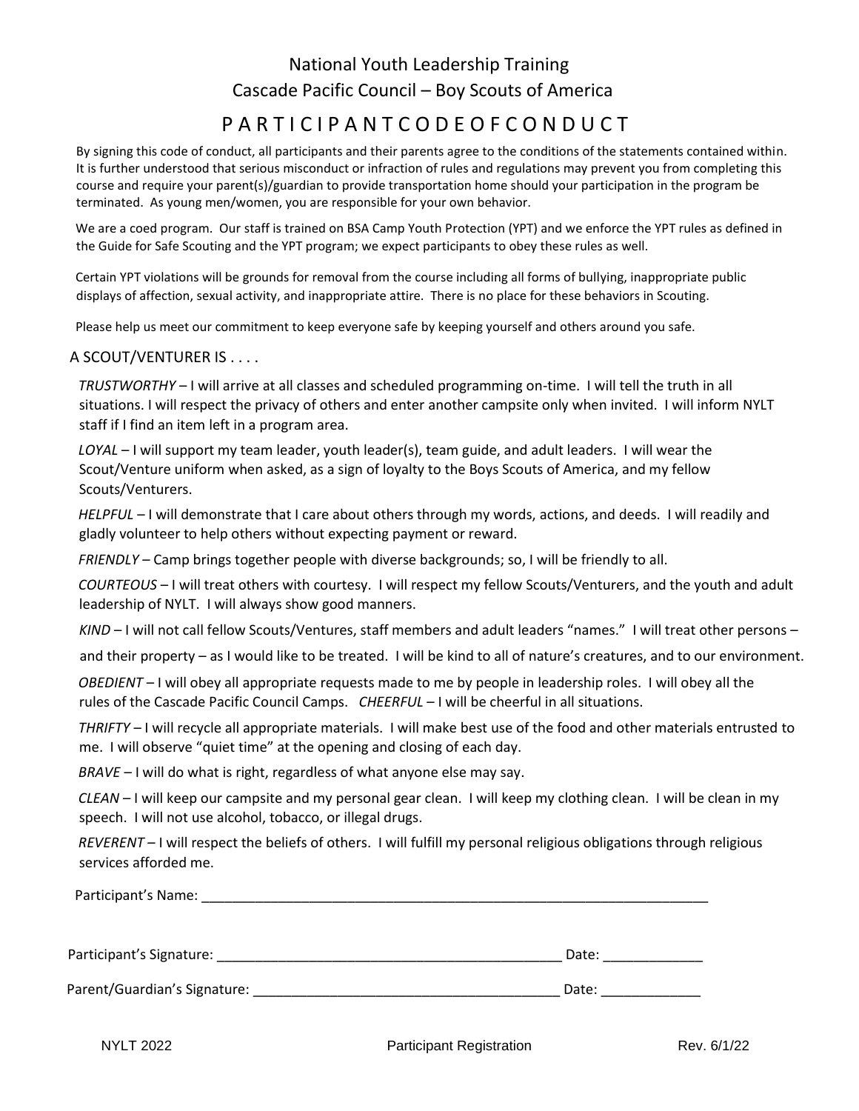# National Youth Leadership Training Cascade Pacific Council – Boy Scouts of America

# P A R T I C I P A N T C O D E O F C O N D U C T

By signing this code of conduct, all participants and their parents agree to the conditions of the statements contained within. It is further understood that serious misconduct or infraction of rules and regulations may prevent you from completing this course and require your parent(s)/guardian to provide transportation home should your participation in the program be terminated. As young men/women, you are responsible for your own behavior.

We are a coed program. Our staff is trained on BSA Camp Youth Protection (YPT) and we enforce the YPT rules as defined in the Guide for Safe Scouting and the YPT program; we expect participants to obey these rules as well.

Certain YPT violations will be grounds for removal from the course including all forms of bullying, inappropriate public displays of affection, sexual activity, and inappropriate attire. There is no place for these behaviors in Scouting.

Please help us meet our commitment to keep everyone safe by keeping yourself and others around you safe.

# A SCOUT/VENTURER IS . . . .

*TRUSTWORTHY* – I will arrive at all classes and scheduled programming on-time. I will tell the truth in all situations. I will respect the privacy of others and enter another campsite only when invited. I will inform NYLT staff if I find an item left in a program area.

*LOYAL* – I will support my team leader, youth leader(s), team guide, and adult leaders. I will wear the Scout/Venture uniform when asked, as a sign of loyalty to the Boys Scouts of America, and my fellow Scouts/Venturers.

*HELPFUL* – I will demonstrate that I care about others through my words, actions, and deeds. I will readily and gladly volunteer to help others without expecting payment or reward.

*FRIENDLY* – Camp brings together people with diverse backgrounds; so, I will be friendly to all.

*COURTEOUS* – I will treat others with courtesy. I will respect my fellow Scouts/Venturers, and the youth and adult leadership of NYLT. I will always show good manners.

*KIND* – I will not call fellow Scouts/Ventures, staff members and adult leaders "names." I will treat other persons –

and their property – as I would like to be treated. I will be kind to all of nature's creatures, and to our environment.

*OBEDIENT* – I will obey all appropriate requests made to me by people in leadership roles. I will obey all the rules of the Cascade Pacific Council Camps. *CHEERFUL* – I will be cheerful in all situations.

*THRIFTY* – I will recycle all appropriate materials. I will make best use of the food and other materials entrusted to me. I will observe "quiet time" at the opening and closing of each day.

*BRAVE* – I will do what is right, regardless of what anyone else may say.

*CLEAN* – I will keep our campsite and my personal gear clean. I will keep my clothing clean. I will be clean in my speech. I will not use alcohol, tobacco, or illegal drugs.

*REVERENT* – I will respect the beliefs of others. I will fulfill my personal religious obligations through religious services afforded me.

Participant's Name: <u>and</u> the state of the state of the state of the state of the state of the state of the state of the state of the state of the state of the state of the state of the state of the state of the state of t

| Participant's Signature: |  |  |
|--------------------------|--|--|
|                          |  |  |

Parent/Guardian's Signature: \_\_\_\_\_\_\_\_\_\_\_\_\_\_\_\_\_\_\_\_\_\_\_\_\_\_\_\_\_\_\_\_\_\_\_\_\_\_\_\_ Date: \_\_\_\_\_\_\_\_\_\_\_\_\_